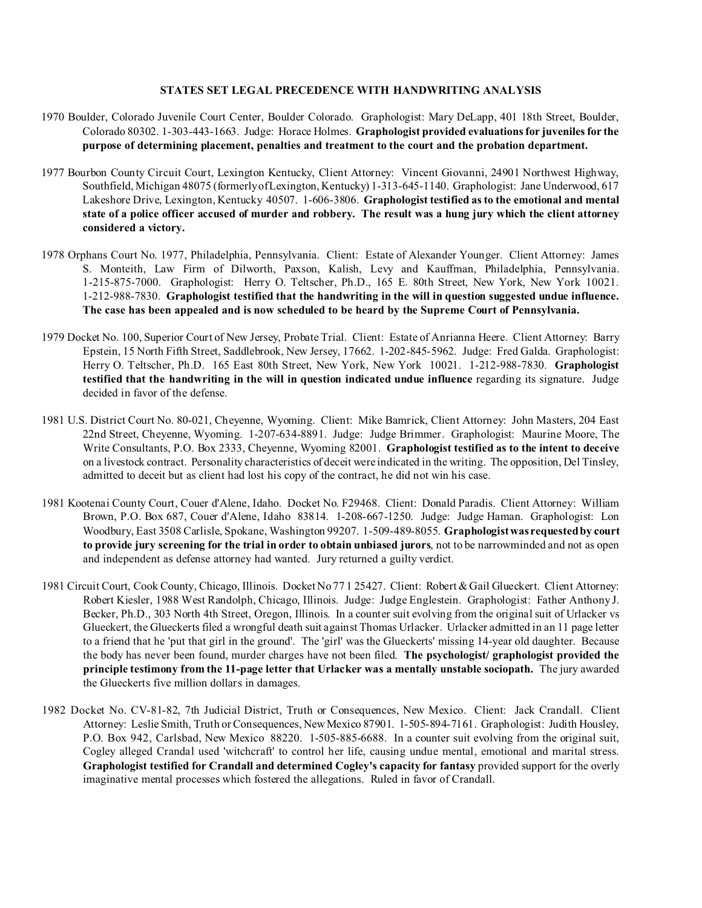## **STATES SET LEGAL PRECEDENCE WITH HANDWRITING ANALYSIS**

- 1970 Boulder, Colorado Juvenile Court Center, Boulder Colorado. Graphologist: Mary DeLapp, 401 18th Street, Boulder, Colorado 80302. 1-303-443-1663. Judge: Horace Holmes. **Graphologist provided evaluations for juveniles for the purpose of determining placement, penalties and treatment to the court and the probation department.**
- 1977 Bourbon County Circuit Court, Lexington Kentucky, Client Attorney: Vincent Giovanni, 24901 Northwest Highway, Southfield, Michigan 48075 (formerly of Lexington, Kentucky) 1-313-645-1140. Graphologist: Jane Underwood, 617 Lakeshore Drive, Lexington, Kentucky 40507. 1-606-3806. **Graphologist testified as to the emotional and mental state of a police officer accused of murder and robbery. The result was a hung jury which the client attorney considered a victory.**
- 1978 Orphans Court No. 1977, Philadelphia, Pennsylvania. Client: Estate of Alexander Younger. Client Attorney: James S. Monteith, Law Firm of Dilworth, Paxson, Kalish, Levy and Kauffman, Philadelphia, Pennsylvania. 1-215-875-7000. Graphologist: Herry O. Teltscher, Ph.D., 165 E. 80th Street, New York, New York 10021. 1-212-988-7830. **Graphologist testified that the handwriting in the will in question suggested undue influence. The case has been appealed and is now scheduled to be heard by the Supreme Court of Pennsylvania.**
- 1979 Docket No. 100, Superior Court of New Jersey, Probate Trial. Client: Estate of Anrianna Heere. Client Attorney: Barry Epstein, 15 North Fifth Street, Saddlebrook, New Jersey, 17662. 1-202-845-5962. Judge: Fred Galda. Graphologist: Herry O. Teltscher, Ph.D. 165 East 80th Street, New York, New York 10021. 1-212-988-7830. **Graphologist testified that the handwriting in the will in question indicated undue influence** regarding its signature. Judge decided in favor of the defense.
- 1981 U.S. District Court No. 80-021, Cheyenne, Wyoming. Client: Mike Bamrick, Client Attorney: John Masters, 204 East 22nd Street, Cheyenne, Wyoming. 1-207-634-8891. Judge: Judge Brimmer. Graphologist: Maurine Moore, The Write Consultants, P.O. Box 2333, Cheyenne, Wyoming 82001. **Graphologist testified as to the intent to deceive** on a livestock contract. Personality characteristics of deceit were indicated in the writing. The opposition, Del Tinsley, admitted to deceit but as client had lost his copy of the contract, he did not win his case.
- 1981 Kootenai County Court, Couer d'Alene, Idaho. Docket No. F29468. Client: Donald Paradis. Client Attorney: William Brown, P.O. Box 687, Couer d'Alene, Idaho 83814. 1-208-667-1250. Judge: Judge Haman. Graphologist: Lon Woodbury, East 3508 Carlisle, Spokane, Washington 99207. 1-509-489-8055. **Graphologist was requested by court to provide jury screening for the trial in order to obtain unbiased jurors**, not to be narrowminded and not as open and independent as defense attorney had wanted. Jury returned a guilty verdict.
- 1981 Circuit Court, Cook County, Chicago, Illinois. Docket No 77 1 25427. Client: Robert & Gail Glueckert. Client Attorney: Robert Kiesler, 1988 West Randolph, Chicago, Illinois. Judge: Judge Englestein. Graphologist: Father Anthony J. Becker, Ph.D., 303 North 4th Street, Oregon, Illinois. In a counter suit evolving from the original suit of Urlacker vs Glueckert, the Glueckerts filed a wrongful death suit against Thomas Urlacker. Urlacker admitted in an 11 page letter to a friend that he 'put that girl in the ground'. The 'girl' was the Glueckerts' missing 14-year old daughter. Because the body has never been found, murder charges have not been filed. **The psychologist/ graphologist provided the principle testimony from the 11-page letter that Urlacker was a mentally unstable sociopath.** The jury awarded the Glueckerts five million dollars in damages.
- 1982 Docket No. CV-81-82, 7th Judicial District, Truth or Consequences, New Mexico. Client: Jack Crandall. Client Attorney: Leslie Smith, Truth or Consequences, New Mexico 87901. 1-505-894-7161. Graphologist: Judith Housley, P.O. Box 942, Carlsbad, New Mexico 88220. 1-505-885-6688. In a counter suit evolving from the original suit, Cogley alleged Crandal used 'witchcraft' to control her life, causing undue mental, emotional and marital stress. **Graphologist testified for Crandall and determined Cogley's capacity for fantasy** provided support for the overly imaginative mental processes which fostered the allegations. Ruled in favor of Crandall.